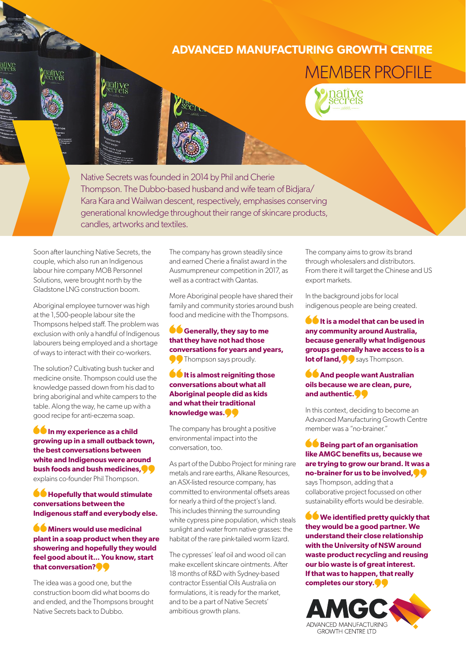## **ADVANCED MANUFACTURING GROWTH CENTRE**







Native Secrets was founded in 2014 by Phil and Cherie Thompson. The Dubbo-based husband and wife team of Bidjara/ Kara Kara and Wailwan descent, respectively, emphasises conserving generational knowledge throughout their range of skincare products, candles, artworks and textiles.

Soon after launching Native Secrets, the couple, which also run an Indigenous labour hire company MOB Personnel Solutions, were brought north by the Gladstone LNG construction boom.

Aboriginal employee turnover was high at the 1,500-people labour site the Thompsons helped staff. The problem was exclusion with only a handful of Indigenous labourers being employed and a shortage of ways to interact with their co-workers.

The solution? Cultivating bush tucker and medicine onsite. Thompson could use the knowledge passed down from his dad to bring aboriginal and white campers to the table. Along the way, he came up with a good recipe for anti-eczema soap.

**In my experience as a child growing up in a small outback town, the best conversations between white and Indigenous were around bush foods and bush medicines,** explains co-founder Phil Thompson.

## $\bullet$  **Hopefully that would stimulate conversations between the Indigenous staff and everybody else.**

**Miners would use medicinal plant in a soap product when they are showering and hopefully they would feel good about it... You know, start that conversation?**

The idea was a good one, but the construction boom did what booms do and ended, and the Thompsons brought Native Secrets back to Dubbo.

The company has grown steadily since and earned Cherie a finalist award in the Ausmumpreneur competition in 2017, as well as a contract with Qantas.

More Aboriginal people have shared their family and community stories around bush food and medicine with the Thompsons.

**Generally, they say to me that they have not had those conversations for years and years,** Thompson says proudly.

**It is almost reigniting those conversations about what all Aboriginal people did as kids and what their traditional knowledge was.**

The company has brought a positive environmental impact into the conversation, too.

As part of the Dubbo Project for mining rare metals and rare earths, Alkane Resources, an ASX-listed resource company, has committed to environmental offsets areas for nearly a third of the project's land. This includes thinning the surrounding white cypress pine population, which steals sunlight and water from native grasses: the habitat of the rare pink-tailed worm lizard.

The cypresses' leaf oil and wood oil can make excellent skincare ointments. After 18 months of R&D with Sydney-based contractor Essential Oils Australia on formulations, it is ready for the market, and to be a part of Native Secrets' ambitious growth plans.

The company aims to grow its brand through wholesalers and distributors. From there it will target the Chinese and US export markets.

In the background jobs for local indigenous people are being created.

**If it is a model that can be used in any community around Australia, because generally what Indigenous groups generally have access to is a lot of land,** says Thompson.

**And people want Australian oils because we are clean, pure, and authentic.**

In this context, deciding to become an Advanced Manufacturing Growth Centre member was a "no-brainer."

**CBeing part of an organisation like AMGC benefits us, because we are trying to grow our brand. It was a no‑brainer for us to be involved,** says Thompson, adding that a collaborative project focussed on other sustainability efforts would be desirable.

**We identified pretty quickly that they would be a good partner. We understand their close relationship with the University of NSW around waste product recycling and reusing our bio waste is of great interest. If that was to happen, that really completes our story.**